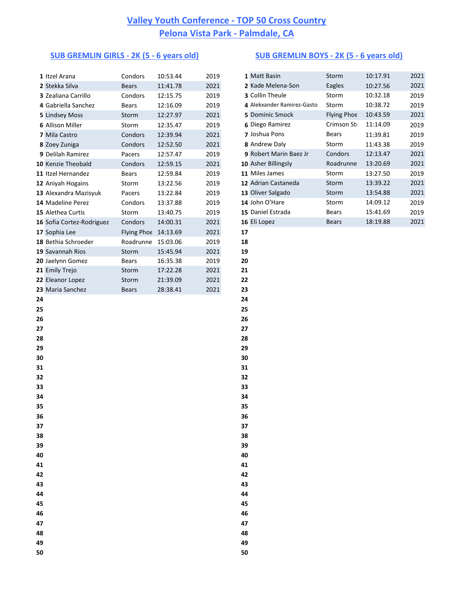### Itzel Arana Condors 10:53.44 2019 **1** Matt Basin Storm 10:17.91 2021 Stekka Silva Bears 11:41.78 2021 **2** Kade Melena-Son Eagles 10:27.56 2021 Zealiana Carrillo **3** Condors 12:15.75 2019 Gabriella Sanchez Bears 12:16.09 2019 **4** Alekxander Ramirez-Gasto Storm 10:38.72 2019 Lindsey Moss Storm 12:27.97 2021 Allison Miller **6 Storm** 12:35.47 2019 **6** Diego Ramirez Crimson Str 11:14.09 2019 Mila Castro **Condors** 12:39.94 2021 **7** Joshua Pons Bears 11:39.81 2019 Zoey Zuniga Condors 12:52.50 2021 **8** Andrew Daly Storm 11:43.38 2019 Delilah Ramirez **Pacers** 12:57.47 2019 Kenzie Theobald **10** Condors 12:59.15 2021 Itzel Hernandez **Bears** 12:59.84 2019 Aniyah Hogains **13:22.56** 2019 Alexandra Mazisyuk Pacers 13:22.84 2019 Madeline Perez **13:37.88** 2019 Alethea Curtis Storm 13:40.75 2019 Sofia Cortez-Rodriguez Condors 14:00.31 2021 Sophia Lee Flying Phoe 14:13.69 2021 **17** 18 Bethia Schroeder **Roadrunne** 15:03.06 2019 18 Savannah Rios Storm 15:45.94 2021 **19** Jaelynn Gomez Bears 16:35.38 2019 **20** Emily Trejo Storm 17:22.28 2021 **21** Eleanor Lopez Storm 21:39.09 2021 **22** Maria Sanchez Bears 28:38.41 2021 **23 24 25 26 27 28 29 30 31 32 33 34 35 36 37 38 39 40 41 42 43**

 **44 45 46 47 48 49 50**

### **SUB GREMLIN GIRLS - 2K (5 - 6 years old) SUB GREMLIN BOYS - 2K (5 - 6 years old)**

| 1 Matt Basin               | Storm        | 10:17.91 | 2021 |
|----------------------------|--------------|----------|------|
| 2 Kade Melena-Son          | Eagles       | 10:27.56 | 2021 |
| 3 Collin Theule            | Storm        | 10:32.18 | 2019 |
| 4 Alekxander Ramirez-Gasto | Storm        | 10:38.72 | 2019 |
| 5 Dominic Smock            | Flying Phoe  | 10:43.59 | 2021 |
| 6 Diego Ramirez            | Crimson Sti  | 11:14.09 | 2019 |
| <b>7 Joshua Pons</b>       | <b>Bears</b> | 11:39.81 | 2019 |
| 8 Andrew Daly              | Storm        | 11:43.38 | 2019 |
| 9 Robert Marin Baez Jr     | Condors      | 12:13.47 | 2021 |
| 10 Asher Billingsly        | Roadrunne    | 13:20.69 | 2021 |
| 11 Miles James             | Storm        | 13:27.50 | 2019 |
| 12 Adrian Castaneda        | Storm        | 13:39.22 | 2021 |
| 13 Oliver Salgado          | Storm        | 13:54.88 | 2021 |
| 14 John O'Hare             | Storm        | 14:09.12 | 2019 |
| 15 Daniel Estrada          | <b>Bears</b> | 15:41.69 | 2019 |
| 16 Eli Lopez               | <b>Bears</b> | 18:19.88 | 2021 |
|                            |              |          |      |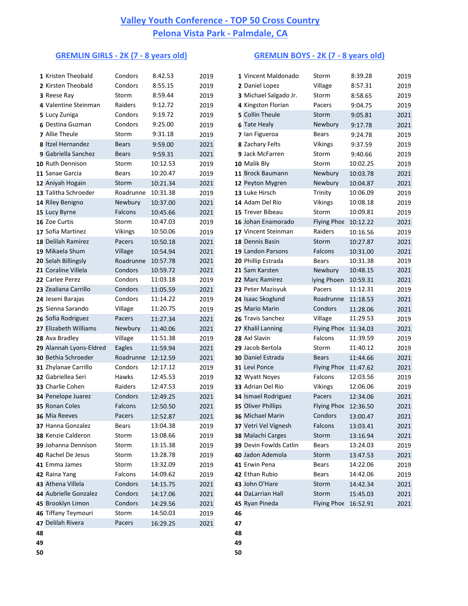### **GREMLIN GIRLS - 2K (7 - 8 years old) GREMLIN BOYS - 2K (7 - 8 years old)**

|    | 1 Kristen Theobald                 | Condors               | 8:42.53              | 2019         |    | 1 Vincent Maldonado                       | Storm                 | 8:39.28              | 2019         |
|----|------------------------------------|-----------------------|----------------------|--------------|----|-------------------------------------------|-----------------------|----------------------|--------------|
|    | 2 Kirsten Theobald                 | Condors               | 8:55.15              | 2019         |    | 2 Daniel Lopez                            | Village               | 8:57.31              | 2019         |
|    | 3 Reese Ray                        | Storm                 | 8:59.44              | 2019         |    | 3 Michael Salgado Jr.                     | Storm                 | 8:58.65              | 2019         |
|    | 4 Valentine Steinman               | Raiders               | 9:12.72              | 2019         |    | 4 Kingston Florian                        | Pacers                | 9:04.75              | 2019         |
|    | 5 Lucy Zuniga                      | Condors               | 9:19.72              | 2019         |    | 5 Collin Theule                           | Storm                 | 9:05.81              | 2021         |
|    | 6 Destina Guzman                   | Condors               | 9:25.00              | 2019         |    | <b>6 Tate Healy</b>                       | Newbury               | 9:17.78              | 2021         |
|    | 7 Allie Theule                     | Storm                 | 9:31.18              | 2019         |    | 7 Ian Figueroa                            | <b>Bears</b>          | 9:24.78              | 2019         |
|    | 8 Itzel Hernandez                  | <b>Bears</b>          | 9:59.00              | 2021         |    | 8 Zachary Felts                           | <b>Vikings</b>        | 9:37.59              | 2019         |
|    | 9 Gabriella Sanchez                | <b>Bears</b>          | 9:59.31              | 2021         |    | 9 Jack McFarren                           | Storm                 | 9:40.66              | 2019         |
|    | 10 Ruth Dennison                   | Storm                 | 10:12.53             | 2019         |    | 10 Malik Bly                              | Storm                 | 10:02.25             | 2019         |
|    | 11 Sanae Garcia                    | <b>Bears</b>          | 10:20.47             | 2019         |    | 11 Brock Baumann                          | Newbury               | 10:03.78             | 2021         |
|    | 12 Aniyah Hogain                   | Storm                 | 10:21.34             | 2021         |    | 12 Peyton Mygren                          | Newbury               | 10:04.87             | 2021         |
|    | 13 Talitha Schroeder               | Roadrunne             | 10:31.38             | 2019         |    | 13 Luke Hirsch                            | Trinity               | 10:06.09             | 2019         |
|    | 14 Riley Benigno                   | Newbury               | 10:37.00             | 2021         |    | 14 Adam Del Rio                           | <b>Vikings</b>        | 10:08.18             | 2019         |
|    | 15 Lucy Byrne                      | Falcons               | 10:45.66             | 2021         |    | 15 Trever Bibeau                          | Storm                 | 10:09.81             | 2019         |
|    | 16 Zoe Curtis                      | Storm                 | 10:47.03             | 2019         |    | 16 Johan Enamorado                        | Flying Phoe 10:12.22  |                      | 2021         |
|    | 17 Sofia Martinez                  | <b>Vikings</b>        | 10:50.06             | 2019         |    | 17 Vincent Steinman                       | Raiders               | 10:16.56             | 2019         |
|    | 18 Delilah Ramirez                 | Pacers                | 10:50.18             | 2021         |    | 18 Dennis Basin                           | Storm                 | 10:27.87             | 2021         |
|    | 19 Mikaela Shum                    | Village               | 10:54.94             | 2021         |    | 19 Landon Parsons                         | Falcons               | 10:31.00             | 2021         |
|    | 20 Selah Billingsly                | Roadrunne             | 10:57.78             | 2021         |    | 20 Phillip Estrada                        | <b>Bears</b>          | 10:31.38             | 2019         |
|    | 21 Coraline Villela                | Condors               | 10:59.72             | 2021         |    | 21 Sam Karsten                            | Newbury               | 10:48.15             | 2021         |
|    | 22 Carlee Perez                    | Condors               | 11:03.18             | 2019         |    | 22 Marc Ramirez                           | lying Phoen 10:59.31  |                      | 2021         |
|    | 23 Zealiana Carrillo               | Condors               | 11:05.59             | 2021         |    | 23 Peter Mazisyuk                         | Pacers                | 11:12.31             | 2019         |
|    | 24 Jeseni Barajas                  | Condors               | 11:14.22             | 2019         |    | 24 Isaac Skoglund                         | Roadrunne 11:18.53    |                      | 2021         |
|    | 25 Sienna Sarando                  | Village               | 11:20.75             | 2019         |    | 25 Mario Marin                            | Condors               | 11:28.06             | 2021         |
|    | 26 Sofia Rodriguez                 | Pacers                | 11:27.34             | 2021         |    | 26 Travis Sanchez                         | Village               | 11:29.53             | 2019         |
|    | 27 Elizabeth Williams              | Newbury               | 11:40.06             | 2021         |    | 27 Khalil Lanning                         | Flying Phoe 11:34.03  |                      | 2021         |
|    | 28 Ava Bradley                     | Village               | 11:51.38             | 2019         |    | 28 Axl Slavin                             | Falcons               | 11:39.59             | 2019         |
|    | 29 Alannah Lyons-Eldred            | Eagles                | 11:59.94             | 2021         |    | 29 Jacob Bertola                          | Storm                 | 11:40.12             | 2019         |
|    | 30 Bethia Schroeder                | Roadrunne 12:12.59    |                      | 2021         |    | 30 Daniel Estrada                         | <b>Bears</b>          | 11:44.66             | 2021         |
|    | 31 Zhylanae Carrillo               | Condors               | 12:17.12             | 2019         |    | 31 Levi Ponce                             | Flying Phoe 11:47.62  |                      | 2021         |
|    | 32 Gabriellea Seri                 | Hawks                 | 12:45.53             | 2019         |    | 32 Wyatt Noyes                            | Falcons               | 12:03.56             | 2019         |
|    | 33 Charlie Cohen                   | Raiders               | 12:47.53             | 2019         |    | 33 Adrian Del Rio                         | <b>Vikings</b>        | 12:06.06             | 2019         |
|    | 34 Penelope Juarez                 | Condors               | 12:49.25             | 2021         |    | 34 Ismael Rodriguez                       | Pacers                | 12:34.06             | 2021         |
|    | 35 Ronan Coles                     | Falcons               | 12:50.50             | 2021         |    | 35 Oliver Phillips<br>36 Michael Marin    | Flying Phoe 12:36.50  |                      | 2021         |
|    | 36 Mia Reeves<br>37 Hanna Gonzalez | Pacers                | 12:52.87             | 2021         |    |                                           | Condors               | 13:00.47             | 2021         |
|    | 38 Kenzie Calderon                 | <b>Bears</b><br>Storm | 13:04.38             | 2019         |    | 37 Vetri Vel Vignesh<br>38 Malachi Carges | Falcons               | 13:03.41             | 2021         |
|    | 39 Johanna Dennison                | Storm                 | 13:08.66<br>13:15.38 | 2019         |    | 39 Devin Fowlds Catlin                    | Storm<br><b>Bears</b> | 13:16.94<br>13:24.03 | 2021         |
|    | 40 Rachel De Jesus                 | Storm                 | 13:28.78             | 2019<br>2019 |    | 40 Jadon Ademola                          | Storm                 |                      | 2019         |
|    | 41 Emma James                      | Storm                 | 13:32.09             | 2019         |    | 41 Erwin Pena                             | <b>Bears</b>          | 13:47.53<br>14:22.06 | 2021<br>2019 |
|    | 42 Raina Yang                      | Falcons               | 14:09.62             | 2019         |    | 42 Ethan Rubio                            | <b>Bears</b>          | 14:42.06             | 2019         |
|    | 43 Athena Villela                  | Condors               | 14:15.75             | 2021         |    | 43 John O'Hare                            | Storm                 | 14:42.34             | 2021         |
|    | 44 Aubrielle Gonzalez              | Condors               | 14:17.06             | 2021         |    | 44 DaLarrian Hall                         | Storm                 | 15:45.03             | 2021         |
|    | 45 Brooklyn Limon                  | Condors               | 14:29.56             | 2021         |    | 45 Ryan Pineda                            | Flying Phoe 16:52.91  |                      | 2021         |
|    | 46 Tiffany Teymouri                | Storm                 | 14:50.03             | 2019         | 46 |                                           |                       |                      |              |
|    | 47 Delilah Rivera                  | Pacers                | 16:29.25             | 2021         | 47 |                                           |                       |                      |              |
| 48 |                                    |                       |                      |              | 48 |                                           |                       |                      |              |
| 49 |                                    |                       |                      |              | 49 |                                           |                       |                      |              |
|    |                                    |                       |                      |              |    |                                           |                       |                      |              |

|   | 1 Vincent Maldonado     | Storm              | 8:39.28  | 2019 |
|---|-------------------------|--------------------|----------|------|
|   | 2 Daniel Lopez          | Village            | 8:57.31  | 2019 |
|   | 3 Michael Salgado Jr.   | Storm              | 8:58.65  | 2019 |
|   | 4 Kingston Florian      | Pacers             | 9:04.75  | 2019 |
|   | <b>5 Collin Theule</b>  | Storm              | 9:05.81  | 2021 |
|   | <b>6 Tate Healy</b>     | Newbury            | 9:17.78  | 2021 |
|   | 7 Ian Figueroa          | <b>Bears</b>       | 9:24.78  | 2019 |
|   | 8 Zachary Felts         | <b>Vikings</b>     | 9:37.59  | 2019 |
|   | 9 Jack McFarren         | Storm              | 9:40.66  | 2019 |
|   | <b>0</b> Malik Bly      | Storm              | 10:02.25 | 2019 |
|   | 1 Brock Baumann         | Newbury            | 10:03.78 | 2021 |
|   | 2 Peyton Mygren         | Newbury            | 10:04.87 | 2021 |
|   | 3 Luke Hirsch           | Trinity            | 10:06.09 | 2019 |
|   | 4 Adam Del Rio          | <b>Vikings</b>     | 10:08.18 | 2019 |
|   | 5 Trever Bibeau         | Storm              | 10:09.81 | 2019 |
|   | 6 Johan Enamorado       | Flying Phoe        | 10:12.22 | 2021 |
|   | 7 Vincent Steinman      | Raiders            | 10:16.56 | 2019 |
|   | 8 Dennis Basin          | Storm              | 10:27.87 | 2021 |
|   | 9 Landon Parsons        | Falcons            | 10:31.00 | 2021 |
|   | O Phillip Estrada       | <b>Bears</b>       | 10:31.38 | 2019 |
|   | 1 Sam Karsten           | Newbury            | 10:48.15 | 2021 |
|   | 2 Marc Ramirez          | lying Phoen        | 10:59.31 | 2021 |
|   | 3 Peter Mazisyuk        | Pacers             | 11:12.31 | 2019 |
|   | 4 Isaac Skoglund        | Roadrunne          | 11:18.53 | 2021 |
|   | 5 Mario Marin           | Condors            | 11:28.06 | 2021 |
|   | 6 Travis Sanchez        | Village            | 11:29.53 | 2019 |
|   | 7 Khalil Lanning        | Flying Phoe        | 11:34.03 | 2021 |
|   | 8 Axl Slavin            | Falcons            | 11:39.59 | 2019 |
|   | 9 Jacob Bertola         | Storm              | 11:40.12 | 2019 |
|   | <b>O</b> Daniel Estrada | <b>Bears</b>       | 11:44.66 | 2021 |
|   | 1 Levi Ponce            | <b>Flying Phoe</b> | 11:47.62 | 2021 |
|   | 2 Wyatt Noyes           | Falcons            | 12:03.56 | 2019 |
|   | 3 Adrian Del Rio        | <b>Vikings</b>     | 12:06.06 | 2019 |
|   | 4 Ismael Rodriguez      | Pacers             | 12:34.06 | 2021 |
|   | 5 Oliver Phillips       | Flying Phoe        | 12:36.50 | 2021 |
|   | <b>6 Michael Marin</b>  | Condors            | 13:00.47 | 2021 |
|   | 7 Vetri Vel Vignesh     | Falcons            | 13:03.41 | 2021 |
|   | 8 Malachi Carges        | Storm              | 13:16.94 | 2021 |
|   | 9 Devin Fowlds Catlin   | <b>Bears</b>       | 13:24.03 | 2019 |
|   | <b>0 Jadon Ademola</b>  | Storm              | 13:47.53 | 2021 |
|   | 1 Erwin Pena            | <b>Bears</b>       | 14:22.06 | 2019 |
|   | 2 Ethan Rubio           | <b>Bears</b>       | 14:42.06 | 2019 |
|   | 3 John O'Hare           | Storm              | 14:42.34 | 2021 |
|   | 4 DaLarrian Hall        | Storm              | 15:45.03 | 2021 |
|   | 5 Ryan Pineda           | Flying Phoe        | 16:52.91 | 2021 |
| 6 |                         |                    |          |      |

- 
- **50**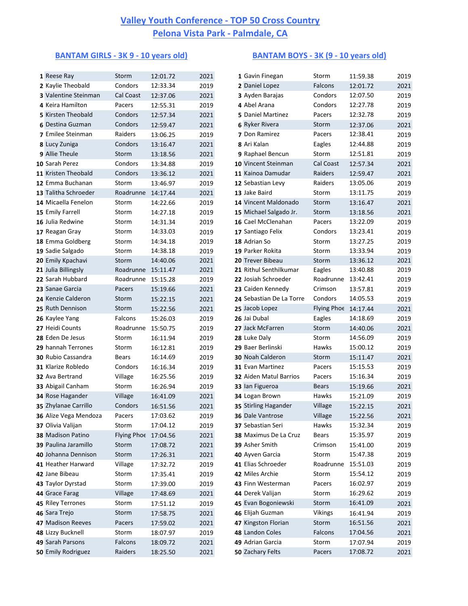### **BANTAM GIRLS - 3K 9 - 10 years old) BANTAM BOYS - 3K (9 - 10 years old)**

| 1 Reese Ray           | Storm        | 12:01.72 | 2021 | 1 Gavin Finegan          | Storm                | 11:59.38 | 2019 |
|-----------------------|--------------|----------|------|--------------------------|----------------------|----------|------|
| 2 Kaylie Theobald     | Condors      | 12:33.34 | 2019 | 2 Daniel Lopez           | Falcons              | 12:01.72 | 2021 |
| 3 Valentine Steinman  | Cal Coast    | 12:37.06 | 2021 | 3 Ayden Barajas          | Condors              | 12:07.50 | 2019 |
| 4 Keira Hamilton      | Pacers       | 12:55.31 | 2019 | 4 Abel Arana             | Condors              | 12:27.78 | 2019 |
| 5 Kirsten Theobald    | Condors      | 12:57.34 | 2021 | 5 Daniel Martinez        | Pacers               | 12:32.78 | 2019 |
| 6 Destina Guzman      | Condors      | 12:59.47 | 2021 | <b>6 Ryker Rivera</b>    | Storm                | 12:37.06 | 2021 |
| 7 Emilee Steinman     | Raiders      | 13:06.25 | 2019 | 7 Don Ramirez            | Pacers               | 12:38.41 | 2019 |
| 8 Lucy Zuniga         | Condors      | 13:16.47 | 2021 | 8 Ari Kalan              | Eagles               | 12:44.88 | 2019 |
| 9 Allie Theule        | Storm        | 13:18.56 | 2021 | 9 Raphael Bencun         | Storm                | 12:51.81 | 2019 |
| 10 Sarah Perez        | Condors      | 13:34.88 | 2019 | 10 Vincent Steinman      | Cal Coast            | 12:57.34 | 2021 |
| 11 Kristen Theobald   | Condors      | 13:36.12 | 2021 | 11 Kainoa Damudar        | Raiders              | 12:59.47 | 2021 |
| 12 Emma Buchanan      | Storm        | 13:46.97 | 2019 | 12 Sebastian Levy        | Raiders              | 13:05.06 | 2019 |
| 13 Talitha Schroeder  | Roadrunne    | 14:17.44 | 2021 | 13 Jake Baird            | Storm                | 13:11.75 | 2019 |
| 14 Micaella Fenelon   | Storm        | 14:22.66 | 2019 | 14 Vincent Maldonado     | Storm                | 13:16.47 | 2021 |
| 15 Emily Farrell      | Storm        | 14:27.18 | 2019 | 15 Michael Salgado Jr.   | Storm                | 13:18.56 | 2021 |
| 16 Julia Redwine      | Storm        | 14:31.34 | 2019 | 16 Cael McClenahan       | Pacers               | 13:22.09 | 2019 |
| 17 Reagan Gray        | Storm        | 14:33.03 | 2019 | 17 Santiago Felix        | Condors              | 13:23.41 | 2019 |
| 18 Emma Goldberg      | Storm        | 14:34.18 | 2019 | 18 Adrian So             | Storm                | 13:27.25 | 2019 |
| 19 Sadie Salgado      | Storm        | 14:38.18 | 2019 | 19 Parker Rokita         | Storm                | 13:33.94 | 2019 |
| 20 Emily Kpachavi     | Storm        | 14:40.06 | 2021 | 20 Trever Bibeau         | Storm                | 13:36.12 | 2021 |
| 21 Julia Billingsly   | Roadrunne    | 15:11.47 | 2021 | 21 Rithul Senthilkumar   | Eagles               | 13:40.88 | 2019 |
| 22 Sarah Hubbard      | Roadrunne    | 15:15.28 | 2019 | 22 Josiah Schroeder      | Roadrunne 13:42.41   |          | 2019 |
| 23 Sanae Garcia       | Pacers       | 15:19.66 | 2021 | 23 Caiden Kennedy        | Crimson              | 13:57.81 | 2019 |
| 24 Kenzie Calderon    | Storm        | 15:22.15 | 2021 | 24 Sebastian De La Torre | Condors              | 14:05.53 | 2019 |
| 25 Ruth Dennison      | Storm        | 15:22.56 | 2021 | 25 Jacob Lopez           | Flying Phoe 14:17.44 |          | 2021 |
| 26 Kaylee Yang        | Falcons      | 15:26.03 | 2019 | 26 Jai Dubal             | Eagles               | 14:18.69 | 2019 |
| 27 Heidi Counts       | Roadrunne    | 15:50.75 | 2019 | 27 Jack McFarren         | Storm                | 14:40.06 | 2021 |
| 28 Eden De Jesus      | Storm        | 16:11.94 | 2019 | 28 Luke Daly             | Storm                | 14:56.09 | 2019 |
| 29 hannah Terrones    | Storm        | 16:12.81 | 2019 | 29 Baer Berlinski        | Hawks                | 15:00.12 | 2019 |
| 30 Rubio Cassandra    | <b>Bears</b> | 16:14.69 | 2019 | 30 Noah Calderon         | Storm                | 15:11.47 | 2021 |
| 31 Klarize Robledo    | Condors      | 16:16.34 | 2019 | 31 Evan Martinez         | Pacers               | 15:15.53 | 2019 |
| 32 Ava Bertrand       | Village      | 16:25.56 | 2019 | 32 Aiden Matul Barrios   | Pacers               | 15:16.34 | 2019 |
| 33 Abigail Canham     | Storm        | 16:26.94 | 2019 | 33 Ian Figueroa          | <b>Bears</b>         | 15:19.66 | 2021 |
| 34 Rose Hagander      | Village      | 16:41.09 | 2021 | 34 Logan Brown           | Hawks                | 15:21.09 | 2019 |
| 35 Zhylanae Carrillo  | Condors      | 16:51.56 | 2021 | 35 Stirling Hagander     | Village              | 15:22.15 | 2021 |
| 36 Alize Vega Mendoza | Pacers       | 17:03.62 | 2019 | 36 Dale Vantrose         | Village              | 15:22.56 | 2021 |
| 37 Olivia Valijan     | Storm        | 17:04.12 | 2019 | 37 Sebastian Seri        | Hawks                | 15:32.34 | 2019 |
| 38 Madison Patino     | Flying Phoe  | 17:04.56 | 2021 | 38 Maximus De La Cruz    | <b>Bears</b>         | 15:35.97 | 2019 |
| 39 Paulina Jaramillo  | Storm        | 17:08.72 | 2021 | 39 Asher Smith           | Crimson              | 15:41.00 | 2019 |
| 40 Johanna Dennison   | Storm        | 17:26.31 | 2021 | 40 Ayven Garcia          | Storm                | 15:47.38 | 2019 |
| 41 Heather Harward    | Village      | 17:32.72 | 2019 | 41 Elias Schroeder       | Roadrunne            | 15:51.03 | 2019 |
| 42 Jane Bibeau        | Storm        | 17:35.41 | 2019 | 42 Miles Archie          | Storm                | 15:54.12 | 2019 |
| 43 Taylor Dyrstad     | Storm        | 17:39.00 | 2019 | 43 Finn Westerman        | Pacers               | 16:02.97 | 2019 |
| 44 Grace Farag        | Village      | 17:48.69 | 2021 | 44 Derek Valijan         | Storm                | 16:29.62 | 2019 |
| 45 Riley Terrones     | Storm        | 17:51.12 | 2019 | 45 Evan Bogoniewski      | Storm                | 16:41.09 | 2021 |
| 46 Sara Trejo         | Storm        | 17:58.75 | 2021 | 46 Elijah Guzman         | <b>Vikings</b>       | 16:41.94 | 2019 |
| 47 Madison Reeves     | Pacers       | 17:59.02 | 2021 | 47 Kingston Florian      | Storm                | 16:51.56 | 2021 |
| 48 Lizzy Bucknell     | Storm        | 18:07.97 | 2019 | 48 Landon Coles          | Falcons              | 17:04.56 | 2021 |
| 49 Sarah Parsons      | Falcons      | 18:09.72 | 2021 | 49 Adrian Garcia         | Storm                | 17:07.94 | 2019 |
| 50 Emily Rodriguez    | Raiders      | 18:25.50 | 2021 | 50 Zachary Felts         | Pacers               | 17:08.72 | 2021 |
|                       |              |          |      |                          |                      |          |      |

| 1 Reese Ray              | Storm                | 12:01.72 | 2021 | 1 Gavin Finegan          | Storm            | 11:59.38 | 2019 |
|--------------------------|----------------------|----------|------|--------------------------|------------------|----------|------|
| 2 Kaylie Theobald        | Condors              | 12:33.34 | 2019 | 2 Daniel Lopez           | Falcons          | 12:01.72 | 2021 |
| 3 Valentine Steinman     | Cal Coast            | 12:37.06 | 2021 | 3 Ayden Barajas          | Condors          | 12:07.50 | 2019 |
| 4 Keira Hamilton         | Pacers               | 12:55.31 | 2019 | 4 Abel Arana             | Condors          | 12:27.78 | 2019 |
| 5 Kirsten Theobald       | Condors              | 12:57.34 | 2021 | 5 Daniel Martinez        | Pacers           | 12:32.78 | 2019 |
| 6 Destina Guzman         | Condors              | 12:59.47 | 2021 | <b>6 Ryker Rivera</b>    | Storm            | 12:37.06 | 2021 |
| 7 Emilee Steinman        | Raiders              | 13:06.25 | 2019 | 7 Don Ramirez            | Pacers           | 12:38.41 | 2019 |
| 8 Lucy Zuniga            | Condors              | 13:16.47 | 2021 | 8 Ari Kalan              | Eagles           | 12:44.88 | 2019 |
| 9 Allie Theule           | Storm                | 13:18.56 | 2021 | 9 Raphael Bencun         | Storm            | 12:51.81 | 2019 |
| O Sarah Perez            | Condors              | 13:34.88 | 2019 | 10 Vincent Steinman      | <b>Cal Coast</b> | 12:57.34 | 2021 |
| 1 Kristen Theobald       | Condors              | 13:36.12 | 2021 | 11 Kainoa Damudar        | Raiders          | 12:59.47 | 2021 |
| 2 Emma Buchanan          | Storm                | 13:46.97 | 2019 | 12 Sebastian Levy        | Raiders          | 13:05.06 | 2019 |
| 3 Talitha Schroeder      | Roadrunne            | 14:17.44 | 2021 | 13 Jake Baird            | Storm            | 13:11.75 | 2019 |
| 4 Micaella Fenelon       | Storm                | 14:22.66 | 2019 | 14 Vincent Maldonado     | Storm            | 13:16.47 | 2021 |
| 5 Emily Farrell          | Storm                | 14:27.18 | 2019 | 15 Michael Salgado Jr.   | Storm            | 13:18.56 | 2021 |
| 6 Julia Redwine          | Storm                | 14:31.34 | 2019 | 16 Cael McClenahan       | Pacers           | 13:22.09 | 2019 |
| 7 Reagan Gray            | Storm                | 14:33.03 | 2019 | 17 Santiago Felix        | Condors          | 13:23.41 | 2019 |
| 8 Emma Goldberg          | Storm                | 14:34.18 | 2019 | 18 Adrian So             | Storm            | 13:27.25 | 2019 |
| 9 Sadie Salgado          | Storm                | 14:38.18 | 2019 | 19 Parker Rokita         | Storm            | 13:33.94 | 2019 |
| <b>0 Emily Kpachavi</b>  | Storm                | 14:40.06 | 2021 | 20 Trever Bibeau         | Storm            | 13:36.12 | 2021 |
| 1 Julia Billingsly       | Roadrunne 15:11.47   |          | 2021 | 21 Rithul Senthilkumar   | Eagles           | 13:40.88 | 2019 |
| 2 Sarah Hubbard          | Roadrunne            | 15:15.28 | 2019 | 22 Josiah Schroeder      | Roadrunne        | 13:42.41 | 2019 |
| 3 Sanae Garcia           | Pacers               | 15:19.66 | 2021 | 23 Caiden Kennedy        | Crimson          | 13:57.81 | 2019 |
| 4 Kenzie Calderon        | Storm                | 15:22.15 | 2021 | 24 Sebastian De La Torre | Condors          | 14:05.53 | 2019 |
| 5 Ruth Dennison          | Storm                | 15:22.56 | 2021 | 25 Jacob Lopez           | Flying Phoe      | 14:17.44 | 2021 |
| 6 Kaylee Yang            | Falcons              | 15:26.03 | 2019 | 26 Jai Dubal             | Eagles           | 14:18.69 | 2019 |
| 7 Heidi Counts           | Roadrunne            | 15:50.75 | 2019 | 27 Jack McFarren         | Storm            | 14:40.06 | 2021 |
| 8 Eden De Jesus          | Storm                | 16:11.94 | 2019 | 28 Luke Daly             | Storm            | 14:56.09 | 2019 |
| 9 hannah Terrones        | Storm                | 16:12.81 | 2019 | 29 Baer Berlinski        | Hawks            | 15:00.12 | 2019 |
| <b>0</b> Rubio Cassandra | <b>Bears</b>         | 16:14.69 | 2019 | 30 Noah Calderon         | Storm            | 15:11.47 | 2021 |
| 1 Klarize Robledo        | Condors              | 16:16.34 | 2019 | 31 Evan Martinez         | Pacers           | 15:15.53 | 2019 |
| 2 Ava Bertrand           | Village              | 16:25.56 | 2019 | 32 Aiden Matul Barrios   | Pacers           | 15:16.34 | 2019 |
| 3 Abigail Canham         | Storm                | 16:26.94 | 2019 | 33 Ian Figueroa          | <b>Bears</b>     | 15:19.66 | 2021 |
| 4 Rose Hagander          | Village              | 16:41.09 | 2021 | 34 Logan Brown           | Hawks            | 15:21.09 | 2019 |
| 5 Zhylanae Carrillo      | Condors              | 16:51.56 | 2021 | 35 Stirling Hagander     | Village          | 15:22.15 | 2021 |
| 6 Alize Vega Mendoza     | Pacers               | 17:03.62 | 2019 | 36 Dale Vantrose         | Village          | 15:22.56 | 2021 |
| 7 Olivia Valijan         | Storm                | 17:04.12 | 2019 | 37 Sebastian Seri        | Hawks            | 15:32.34 | 2019 |
| 8 Madison Patino         | Flying Phoe 17:04.56 |          | 2021 | 38 Maximus De La Cruz    | <b>Bears</b>     | 15:35.97 | 2019 |
| 9 Paulina Jaramillo      | Storm                | 17:08.72 | 2021 | 39 Asher Smith           | Crimson          | 15:41.00 | 2019 |
| O Johanna Dennison       | Storm                | 17:26.31 | 2021 | 40 Ayven Garcia          | Storm            | 15:47.38 | 2019 |
| 1 Heather Harward        | Village              | 17:32.72 | 2019 | 41 Elias Schroeder       | Roadrunne        | 15:51.03 | 2019 |
| 2 Jane Bibeau            | Storm                | 17:35.41 | 2019 | 42 Miles Archie          | Storm            | 15:54.12 | 2019 |
| 3 Taylor Dyrstad         | Storm                | 17:39.00 | 2019 | 43 Finn Westerman        | Pacers           | 16:02.97 | 2019 |
| 4 Grace Farag            | Village              | 17:48.69 | 2021 | 44 Derek Valijan         | Storm            | 16:29.62 | 2019 |
| 5 Riley Terrones         | Storm                | 17:51.12 | 2019 | 45 Evan Bogoniewski      | Storm            | 16:41.09 | 2021 |
| 6 Sara Trejo             | Storm                | 17:58.75 | 2021 | 46 Elijah Guzman         | <b>Vikings</b>   | 16:41.94 | 2019 |
| <b>7 Madison Reeves</b>  | Pacers               | 17:59.02 | 2021 | 47 Kingston Florian      | Storm            | 16:51.56 | 2021 |
| 8 Lizzy Bucknell         | Storm                | 18:07.97 | 2019 | 48 Landon Coles          | Falcons          | 17:04.56 | 2021 |
| 9 Sarah Parsons          | Falcons              | 18:09.72 | 2021 | 49 Adrian Garcia         | Storm            | 17:07.94 | 2019 |
| <b>0 Emily Rodriguez</b> | Raiders              | 18:25.50 | 2021 | 50 Zachary Felts         | Pacers           | 17:08.72 | 2021 |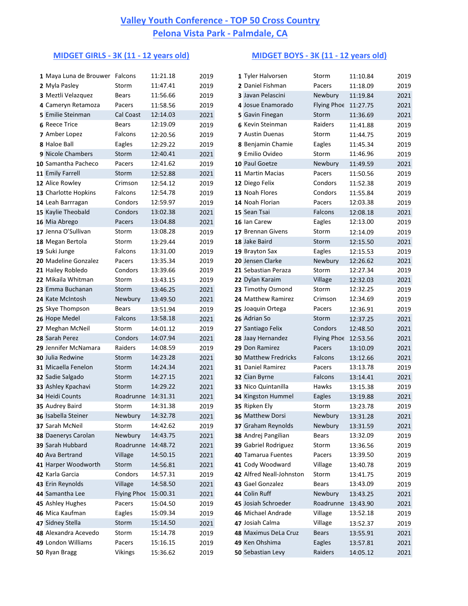## **MIDGET GIRLS - 3K (11 - 12 years old) MIDGET BOYS - 3K (11 - 12 years old)**

| 1 Maya Luna de Brouwer Falcons |                    | 11:21.18 | 2019 | 1 Tyler Halvorsen           | Storm                | 11:10.84 | 2019 |
|--------------------------------|--------------------|----------|------|-----------------------------|----------------------|----------|------|
| 2 Myla Pasley                  | Storm              | 11:47.41 | 2019 | 2 Daniel Fishman            | Pacers               | 11:18.09 | 2019 |
| 3 Meztli Velazquez             | <b>Bears</b>       | 11:56.66 | 2019 | 3 Javan Pelascini           | Newbury              | 11:19.84 | 2021 |
| 4 Cameryn Retamoza             | Pacers             | 11:58.56 | 2019 | 4 Josue Enamorado           | Flying Phoe 11:27.75 |          | 2021 |
| 5 Emilie Steinman              | Cal Coast          | 12:14.03 | 2021 | 5 Gavin Finegan             | Storm                | 11:36.69 | 2021 |
| <b>6 Reece Trice</b>           | <b>Bears</b>       | 12:19.09 | 2019 | 6 Kevin Steinman            | Raiders              | 11:41.88 | 2019 |
| 7 Amber Lopez                  | Falcons            | 12:20.56 | 2019 | 7 Austin Duenas             | Storm                | 11:44.75 | 2019 |
| 8 Haloe Ball                   | Eagles             | 12:29.22 | 2019 | 8 Benjamin Chamie           | Eagles               | 11:45.34 | 2019 |
| 9 Nicole Chambers              | Storm              | 12:40.41 | 2021 | 9 Emilio Ovideo             | Storm                | 11:46.96 | 2019 |
| 10 Samantha Pacheco            | Pacers             | 12:41.62 | 2019 | 10 Paul Goetze              | Newbury              | 11:49.59 | 2021 |
| 11 Emily Farrell               | Storm              | 12:52.88 | 2021 | 11 Martin Macias            | Pacers               | 11:50.56 | 2019 |
| 12 Alice Rowley                | Crimson            | 12:54.12 | 2019 | 12 Diego Felix              | Condors              | 11:52.38 | 2019 |
| 13 Charlotte Hopkins           | Falcons            | 12:54.78 | 2019 | 13 Noah Flores              | Condors              | 11:55.84 | 2019 |
| 14 Leah Barrragan              | Condors            | 12:59.97 | 2019 | 14 Noah Florian             | Pacers               | 12:03.38 | 2019 |
| 15 Kaylie Theobald             | Condors            | 13:02.38 | 2021 | 15 Sean Tsai                | Falcons              | 12:08.18 | 2021 |
| 16 Mia Abrego                  | Pacers             | 13:04.88 | 2021 | 16 Ian Carew                | Eagles               | 12:13.00 | 2019 |
| 17 Jenna O'Sullivan            | Storm              | 13:08.28 | 2019 | 17 Brennan Givens           | Storm                | 12:14.09 | 2019 |
| 18 Megan Bertola               | Storm              | 13:29.44 | 2019 | 18 Jake Baird               | Storm                | 12:15.50 | 2021 |
| 19 Suki Junge                  | Falcons            | 13:31.00 | 2019 | 19 Brayton Sax              | Eagles               | 12:15.53 | 2019 |
| 20 Madeline Gonzalez           | Pacers             | 13:35.34 | 2019 | 20 Jensen Clarke            | Newbury              | 12:26.62 | 2021 |
| 21 Hailey Robledo              | Condors            | 13:39.66 | 2019 | 21 Sebastian Peraza         | Storm                | 12:27.34 | 2019 |
| 22 Mikaila Whitman             | Storm              | 13:43.15 | 2019 | 22 Dylan Karaim             | Village              | 12:32.03 | 2021 |
| 23 Emma Buchanan               | Storm              | 13:46.25 | 2021 | 23 Timothy Osmond           | Storm                | 12:32.25 | 2019 |
| 24 Kate McIntosh               | Newbury            | 13:49.50 | 2021 | 24 Matthew Ramirez          | Crimson              | 12:34.69 | 2019 |
| 25 Skye Thompson               | <b>Bears</b>       | 13:51.94 | 2019 | 25 Joaquin Ortega           | Pacers               | 12:36.91 | 2019 |
| 26 Hope Medel                  | Falcons            | 13:58.18 | 2021 | 26 Adrian So                | Storm                | 12:37.25 | 2021 |
| 27 Meghan McNeil               | Storm              | 14:01.12 | 2019 | 27 Santiago Felix           | Condors              | 12:48.50 | 2021 |
| 28 Sarah Perez                 | Condors            | 14:07.94 | 2021 | 28 Jaay Hernandez           | Flying Phoe 12:53.56 |          | 2021 |
| 29 Jennifer McNamara           | Raiders            | 14:08.59 | 2019 | 29 Don Ramirez              | Pacers               | 13:10.09 | 2021 |
| 30 Julia Redwine               | Storm              | 14:23.28 | 2021 | <b>30 Matthew Fredricks</b> | Falcons              | 13:12.66 | 2021 |
| 31 Micaella Fenelon            | Storm              | 14:24.34 | 2021 | 31 Daniel Ramirez           | Pacers               | 13:13.78 | 2019 |
| 32 Sadie Salgado               | Storm              | 14:27.15 | 2021 | 32 Cian Byrne               | Falcons              | 13:14.41 | 2021 |
| 33 Ashley Kpachavi             | Storm              | 14:29.22 | 2021 | 33 Nico Quintanilla         | Hawks                | 13:15.38 | 2019 |
| 34 Heidi Counts                | Roadrunne          | 14:31.31 | 2021 | 34 Kingston Hummel          | Eagles               | 13:19.88 | 2021 |
| 35 Audrey Baird                | Storm              | 14:31.38 | 2019 | 35 Ripken Ely               | Storm                | 13:23.78 | 2019 |
| 36 Isabella Steiner            | Newbury            | 14:32.78 | 2021 | 36 Matthew Dorsi            | Newbury              | 13:31.28 | 2021 |
| 37 Sarah McNeil                | Storm              | 14:42.62 | 2019 | 37 Graham Reynolds          | Newbury              | 13:31.59 | 2021 |
| 38 Daenerys Carolan            | Newbury            | 14:43.75 | 2021 | 38 Andrej Pangilian         | <b>Bears</b>         | 13:32.09 | 2019 |
| 39 Sarah Hubbard               | Roadrunne          | 14:48.72 | 2021 | 39 Gabriel Rodriguez        | Storm                | 13:36.56 | 2019 |
| 40 Ava Bertrand                | Village            | 14:50.15 | 2021 | 40 Tamarua Fuentes          | Pacers               | 13:39.50 | 2019 |
| 41 Harper Woodworth            | Storm              | 14:56.81 | 2021 | 41 Cody Woodward            | Village              | 13:40.78 | 2019 |
| 42 Karla Garcia                | Condors            | 14:57.31 | 2019 | 42 Alfred Neall-Johnston    | Storm                | 13:41.75 | 2019 |
| 43 Erin Reynolds               | Village            | 14:58.50 | 2021 | 43 Gael Gonzalez            | <b>Bears</b>         | 13:43.09 | 2019 |
| 44 Samantha Lee                | <b>Flying Phoe</b> | 15:00.31 | 2021 | 44 Colin Ruff               | Newbury              | 13:43.25 | 2021 |
| 45 Ashley Hughes               | Pacers             | 15:04.50 | 2019 | 45 Josiah Schroeder         | Roadrunne 13:43.90   |          | 2021 |
| 46 Mica Kaufman                | Eagles             | 15:09.34 | 2019 | 46 Michael Andrade          | Village              | 13:52.18 | 2019 |
| 47 Sidney Stella               | Storm              | 15:14.50 | 2021 | 47 Josiah Calma             | Village              | 13:52.37 | 2019 |
| 48 Alexandra Acevedo           | Storm              | 15:14.78 | 2019 | 48 Maximus DeLa Cruz        | <b>Bears</b>         | 13:55.91 | 2021 |
| 49 London Williams             | Pacers             | 15:16.15 | 2019 | 49 Ken Ohshima              | Eagles               | 13:57.81 | 2021 |
| 50 Ryan Bragg                  | <b>Vikings</b>     | 15:36.62 | 2019 | 50 Sebastian Levy           | Raiders              | 14:05.12 | 2021 |
|                                |                    |          |      |                             |                      |          |      |

| 1 Tyler Halvorsen                            | Storm            | 11:10.84             | 2019         |
|----------------------------------------------|------------------|----------------------|--------------|
| 2 Daniel Fishman                             | Pacers           | 11:18.09             | 2019         |
| 3 Javan Pelascini                            | Newbury          | 11:19.84             | 2021         |
| 4 Josue Enamorado                            | Flying Phoe      | 11:27.75             | 2021         |
| 5 Gavin Finegan                              | Storm            | 11:36.69             | 2021         |
| <b>6 Kevin Steinman</b>                      | Raiders          | 11:41.88             | 2019         |
| 7 Austin Duenas                              | Storm            | 11:44.75             | 2019         |
| 8 Benjamin Chamie                            | Eagles           | 11:45.34             | 2019         |
| 9 Emilio Ovideo                              | Storm            | 11:46.96             | 2019         |
| 10 Paul Goetze                               | Newbury          | 11:49.59             | 2021         |
| 11 Martin Macias                             | Pacers           | 11:50.56             | 2019         |
| 12 Diego Felix                               | Condors          | 11:52.38             | 2019         |
| 13 Noah Flores                               | Condors          | 11:55.84             | 2019         |
| 14 Noah Florian                              | Pacers           | 12:03.38             | 2019         |
| 15 Sean Tsai                                 | Falcons          | 12:08.18             | 2021         |
| 16 Ian Carew                                 | Eagles           | 12:13.00             | 2019         |
| 17 Brennan Givens                            | Storm            | 12:14.09             | 2019         |
| 18 Jake Baird                                | Storm            | 12:15.50             | 2021         |
| 19 Brayton Sax                               | Eagles           | 12:15.53             | 2019         |
| 20 Jensen Clarke                             | Newbury          | 12:26.62             | 2021         |
| 21 Sebastian Peraza                          | Storm            | 12:27.34             | 2019         |
| 22 Dylan Karaim                              | Village          | 12:32.03             | 2021         |
| 23 Timothy Osmond                            | Storm            | 12:32.25             | 2019         |
| 24 Matthew Ramirez                           | Crimson          | 12:34.69             | 2019         |
| 25 Joaquin Ortega                            | Pacers           | 12:36.91             | 2019         |
| 26 Adrian So                                 | Storm            | 12:37.25             | 2021         |
| 27 Santiago Felix                            | Condors          | 12:48.50             | 2021         |
| 28 Jaay Hernandez                            | Flying Phoe      | 12:53.56             | 2021         |
| 29 Don Ramirez                               | Pacers           | 13:10.09             | 2021         |
| <b>30 Matthew Fredricks</b>                  | Falcons          | 13:12.66             | 2021         |
| 31 Daniel Ramirez                            | Pacers           | 13:13.78             | 2019         |
| 32 Cian Byrne                                | Falcons          | 13:14.41             | 2021         |
| 33 Nico Quintanilla                          | Hawks            | 13:15.38             | 2019         |
| 34 Kingston Hummel                           | Eagles           | 13:19.88             | 2021         |
| 35 Ripken Ely                                | Storm            | 13:23.78             | 2019         |
| <b>36 Matthew Dorsi</b>                      | Newbury          | 13:31.28             | 2021         |
| 37 Graham Reynolds                           | Newbury          | 13:31.59             | 2021         |
| 38 Andrej Pangilian                          | <b>Bears</b>     | 13:32.09             | 2019         |
| 39 Gabriel Rodriguez                         | Storm            | 13:36.56             | 2019         |
| 40 Tamarua Fuentes                           | Pacers           | 13:39.50             | 2019         |
| 41 Cody Woodward<br>42 Alfred Neall-Johnston | Village<br>Storm | 13:40.78             | 2019         |
| 43 Gael Gonzalez                             | <b>Bears</b>     | 13:41.75<br>13:43.09 | 2019         |
| 44 Colin Ruff                                | Newbury          | 13:43.25             | 2019         |
| 45 Josiah Schroeder                          | Roadrunne        |                      | 2021         |
| 46 Michael Andrade                           | Village          | 13:43.90<br>13:52.18 | 2021<br>2019 |
| 47 Josiah Calma                              | Village          | 13:52.37             | 2019         |
| 48 Maximus DeLa Cruz                         | <b>Bears</b>     | 13:55.91             | 2021         |
| 49 Ken Ohshima                               | Eagles           | 13:57.81             | 2021         |
| 50 Sebastian Levy                            | Raiders          | 14:05.12             | 2021         |
|                                              |                  |                      |              |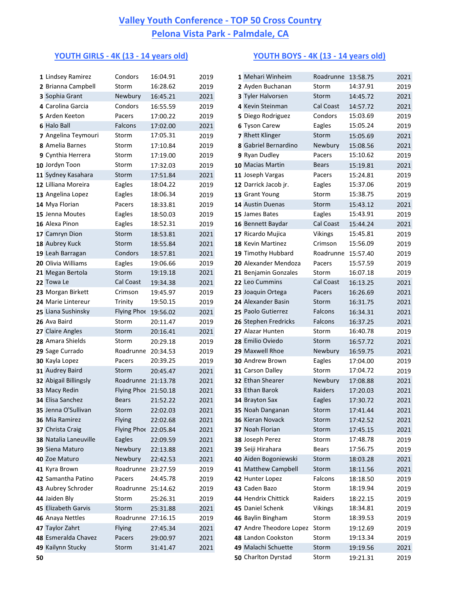## **YOUTH GIRLS - 4K (13 - 14 years old) YOUTH BOYS - 4K (13 - 14 years old)**

| 1 Lindsey Ramirez                       | Condors              | 16:04.91             | 2019 | 1 Mehari Winheim                                   | Roadrunne 13:58.75 |                      | 2021 |
|-----------------------------------------|----------------------|----------------------|------|----------------------------------------------------|--------------------|----------------------|------|
| 2 Brianna Campbell                      | Storm                | 16:28.62             | 2019 | 2 Ayden Buchanan                                   | Storm              | 14:37.91             | 2019 |
| 3 Sophia Grant                          | Newbury              | 16:45.21             | 2021 | 3 Tyler Halvorsen                                  | Storm              | 14:45.72             | 2021 |
| 4 Carolina Garcia                       | Condors              | 16:55.59             | 2019 | 4 Kevin Steinman                                   | Cal Coast          | 14:57.72             | 2021 |
| 5 Arden Keeton                          | Pacers               | 17:00.22             | 2019 | 5 Diego Rodriguez                                  | Condors            | 15:03.69             | 2019 |
| <b>6 Halo Ball</b>                      | Falcons              | 17:02.00             | 2021 | <b>6 Tyson Carew</b>                               | Eagles             | 15:05.24             | 2019 |
| 7 Angelina Teymouri                     | Storm                | 17:05.31             | 2019 | 7 Rhett Klinger                                    | Storm              | 15:05.69             | 2021 |
| 8 Amelia Barnes                         | Storm                | 17:10.84             | 2019 | 8 Gabriel Bernardino                               | Newbury            | 15:08.56             | 2021 |
| 9 Cynthia Herrera                       | Storm                | 17:19.00             | 2019 | 9 Ryan Dudley                                      | Pacers             | 15:10.62             | 2019 |
| 10 Jordyn Toon                          | Storm                | 17:32.03             | 2019 | 10 Macias Martin                                   | <b>Bears</b>       | 15:19.81             | 2021 |
| 11 Sydney Kasahara                      | Storm                | 17:51.84             | 2021 | 11 Joseph Vargas                                   | Pacers             | 15:24.81             | 2019 |
| 12 Lilliana Moreira                     | Eagles               | 18:04.22             | 2019 | 12 Darrick Jacob jr.                               | Eagles             | 15:37.06             | 2019 |
| 13 Angelina Lopez                       | Eagles               | 18:06.34             | 2019 | 13 Grant Young                                     | Storm              | 15:38.75             | 2019 |
| 14 Mya Florian                          | Pacers               | 18:33.81             | 2019 | 14 Austin Duenas                                   | Storm              | 15:43.12             | 2021 |
| 15 Jenna Moutes                         | Eagles               | 18:50.03             | 2019 | 15 James Bates                                     | Eagles             | 15:43.91             | 2019 |
| 16 Alexa Pinon                          | Eagles               | 18:52.31             | 2019 | 16 Bennett Baydar                                  | Cal Coast          | 15:44.24             | 2021 |
| 17 Camryn Dion                          | Storm                | 18:53.81             | 2021 | 17 Ricardo Mujica                                  | <b>Vikings</b>     | 15:45.81             | 2019 |
| 18 Aubrey Kuck                          | Storm                | 18:55.84             | 2021 | 18 Kevin Martinez                                  | Crimson            | 15:56.09             | 2019 |
| 19 Leah Barragan                        | Condors              | 18:57.81             | 2021 | 19 Timothy Hubbard                                 | Roadrunne 15:57.40 |                      | 2019 |
| 20 Olivia Williams                      | Eagles               | 19:06.66             | 2019 | 20 Alexander Mendoza                               | Pacers             | 15:57.59             | 2019 |
| 21 Megan Bertola                        | Storm                | 19:19.18             | 2021 | 21 Benjamin Gonzales                               | Storm              | 16:07.18             | 2019 |
| 22 Towa Le                              | Cal Coast            | 19:34.38             | 2021 | 22 Leo Cummins                                     | Cal Coast          | 16:13.25             | 2021 |
| 23 Morgan Birkett                       | Crimson              | 19:45.97             | 2019 | 23 Joaquin Ortega                                  | Pacers             | 16:26.69             | 2021 |
| 24 Marie Lintereur                      | Trinity              | 19:50.15             | 2019 | 24 Alexander Basin                                 | Storm              | 16:31.75             | 2021 |
| 25 Liana Sushinsky                      | Flying Phoe 19:56.02 |                      | 2021 | 25 Paolo Gutierrez                                 | Falcons            | 16:34.31             | 2021 |
| 26 Ava Baird                            | Storm                | 20:11.47             | 2019 | 26 Stephen Fredricks                               | Falcons            | 16:37.25             | 2021 |
| 27 Claire Angles                        | Storm                | 20:16.41             | 2021 | 27 Alazar Hunten                                   | Storm              | 16:40.78             | 2019 |
| 28 Amara Shields                        | Storm                | 20:29.18             | 2019 | 28 Emilio Oviedo                                   | Storm              | 16:57.72             | 2021 |
| 29 Sage Currado                         | Roadrunne 20:34.53   |                      | 2019 | 29 Maxwell Rhoe                                    | Newbury            | 16:59.75             | 2021 |
| 30 Kayla Lopez                          | Pacers               | 20:39.25             | 2019 | 30 Andrew Brown                                    | Eagles             | 17:04.00             | 2019 |
| 31 Audrey Baird                         | Storm                | 20:45.47             | 2021 | 31 Carson Dalley                                   | Storm              | 17:04.72             | 2019 |
| 32 Abigail Billingsly                   | Roadrunne 21:13.78   |                      | 2021 | 32 Ethan Shearer                                   | Newbury            | 17:08.88             | 2021 |
| 33 Macy Redin                           | Flying Phoe 21:50.18 |                      | 2021 | 33 Ethan Barok                                     | Raiders            | 17:20.03             | 2021 |
| 34 Elisa Sanchez                        | <b>Bears</b>         | 21:52.22             | 2021 | 34 Brayton Sax                                     | Eagles             | 17:30.72             | 2021 |
| 35 Jenna O'Sullivan                     | Storm                | 22:02.03             | 2021 | 35 Noah Danganan                                   | Storm              | 17:41.44             | 2021 |
| 36 Mia Ramirez                          | Flying               | 22:02.68             | 2021 | 36 Kieran Novack                                   | Storm              | 17:42.52             | 2021 |
| 37 Christa Craig                        | Flying Phoe 22:05.84 |                      | 2021 | 37 Noah Florian                                    | Storm              | 17:45.15             | 2021 |
| 38 Natalia Laneuville                   | <b>Eagles</b>        | 22:09.59             | 2021 | 38 Joseph Perez                                    | Storm              | 17:48.78             | 2019 |
| 39 Siena Maturo                         | Newbury              | 22:13.88             | 2021 | 39 Seiji Hirahara                                  | <b>Bears</b>       | 17:56.75             | 2019 |
| 40 Zoe Maturo                           | Newbury              | 22:42.53             | 2021 | 40 Aiden Bogoniewski                               | Storm              | 18:03.28             | 2021 |
| 41 Kyra Brown                           | Roadrunne            | 23:27.59             | 2019 | 41 Matthew Campbell                                | Storm              | 18:11.56             | 2021 |
| 42 Samantha Patino                      | Pacers               | 24:45.78             | 2019 | 42 Hunter Lopez                                    | Falcons            | 18:18.50             | 2019 |
| 43 Aubrey Schroder                      | Roadrunne            | 25:14.62             | 2019 | 43 Caden Bazo                                      | Storm              | 18:19.94             | 2019 |
| 44 Jaiden Bly                           | Storm                | 25:26.31             | 2019 | 44 Hendrix Chittick                                | Raiders            | 18:22.15             | 2019 |
| 45 Elizabeth Garvis<br>46 Anaya Nettles | Storm<br>Roadrunne   | 25:31.88<br>27:16.15 | 2021 | 45 Daniel Schenk                                   | <b>Vikings</b>     | 18:34.81             | 2019 |
| 47 Taylor Zahrt                         |                      |                      | 2019 | 46 Baylin Bingham<br>47 Andre Theodore Lopez Storm | Storm              | 18:39.53             | 2019 |
| 48 Esmeralda Chavez                     | <b>Flying</b>        | 27:45.34             | 2021 | 48 Landon Cookston                                 | Storm              | 19:12.69<br>19:13.34 | 2019 |
| 49 Kailynn Stucky                       | Pacers               | 29:00.97             | 2021 | 49 Malachi Schuette                                |                    |                      | 2019 |
|                                         | Storm                | 31:41.47             | 2021 | Charltan Durchard                                  | Storm              | 19:19.56             | 2021 |

|    | 1 Lindsey Ramirez                   | Condors                       | 16:04.91 | 2019         | 1 Mehari Winheim                             | Roadrunne 13:58.75 |                      | 2021         |
|----|-------------------------------------|-------------------------------|----------|--------------|----------------------------------------------|--------------------|----------------------|--------------|
|    | 2 Brianna Campbell                  | Storm                         | 16:28.62 | 2019         | 2 Ayden Buchanan                             | Storm              | 14:37.91             | 2019         |
|    | 3 Sophia Grant                      | Newbury                       | 16:45.21 | 2021         | 3 Tyler Halvorsen                            | Storm              | 14:45.72             | 2021         |
|    | 4 Carolina Garcia                   | Condors                       | 16:55.59 | 2019         | 4 Kevin Steinman                             | Cal Coast          | 14:57.72             | 2021         |
|    | 5 Arden Keeton                      | Pacers                        | 17:00.22 | 2019         | 5 Diego Rodriguez                            | Condors            | 15:03.69             | 2019         |
|    | <b>6 Halo Ball</b>                  | Falcons                       | 17:02.00 | 2021         | 6 Tyson Carew                                | Eagles             | 15:05.24             | 2019         |
|    | 7 Angelina Teymouri                 | Storm                         | 17:05.31 | 2019         | 7 Rhett Klinger                              | Storm              | 15:05.69             | 2021         |
|    | 8 Amelia Barnes                     | Storm                         | 17:10.84 | 2019         | 8 Gabriel Bernardino                         | Newbury            | 15:08.56             | 2021         |
|    | 9 Cynthia Herrera                   | Storm                         | 17:19.00 | 2019         | 9 Ryan Dudley                                | Pacers             | 15:10.62             | 2019         |
|    | 10 Jordyn Toon                      | Storm                         | 17:32.03 | 2019         | 10 Macias Martin                             | <b>Bears</b>       | 15:19.81             | 2021         |
|    | 11 Sydney Kasahara                  | Storm                         | 17:51.84 | 2021         | 11 Joseph Vargas                             | Pacers             | 15:24.81             | 2019         |
|    | 12 Lilliana Moreira                 | Eagles                        | 18:04.22 | 2019         | 12 Darrick Jacob jr.                         | Eagles             | 15:37.06             | 2019         |
|    | 13 Angelina Lopez                   | Eagles                        | 18:06.34 | 2019         | 13 Grant Young                               | Storm              | 15:38.75             | 2019         |
|    | 14 Mya Florian                      | Pacers                        | 18:33.81 | 2019         | 14 Austin Duenas                             | Storm              | 15:43.12             | 2021         |
|    | 15 Jenna Moutes                     | Eagles                        | 18:50.03 | 2019         | 15 James Bates                               | Eagles             | 15:43.91             | 2019         |
|    | 16 Alexa Pinon                      | Eagles                        | 18:52.31 | 2019         | 16 Bennett Baydar                            | Cal Coast          | 15:44.24             | 2021         |
|    | 17 Camryn Dion                      | Storm                         | 18:53.81 | 2021         | 17 Ricardo Mujica                            | <b>Vikings</b>     | 15:45.81             | 2019         |
|    | 18 Aubrey Kuck                      | Storm                         | 18:55.84 | 2021         | 18 Kevin Martinez                            | Crimson            | 15:56.09             | 2019         |
|    | 19 Leah Barragan                    | Condors                       | 18:57.81 | 2021         | 19 Timothy Hubbard                           | Roadrunne          | 15:57.40             | 2019         |
|    | 20 Olivia Williams                  | Eagles                        | 19:06.66 | 2019         | 20 Alexander Mendoza                         | Pacers             | 15:57.59             | 2019         |
|    | 21 Megan Bertola                    | Storm                         | 19:19.18 | 2021         | 21 Benjamin Gonzales                         | Storm              | 16:07.18             | 2019         |
|    | 22 Towa Le                          | Cal Coast                     | 19:34.38 | 2021         | 22 Leo Cummins                               | Cal Coast          | 16:13.25             | 2021         |
|    | 23 Morgan Birkett                   | Crimson                       | 19:45.97 | 2019         | 23 Joaquin Ortega                            | Pacers             | 16:26.69             | 2021         |
|    | 24 Marie Lintereur                  | Trinity                       | 19:50.15 | 2019         | 24 Alexander Basin                           | Storm              | 16:31.75             | 2021         |
|    | 25 Liana Sushinsky                  | Flying Phoe 19:56.02          |          | 2021         | 25 Paolo Gutierrez                           | Falcons            | 16:34.31             | 2021         |
|    | 26 Ava Baird                        | Storm                         | 20:11.47 | 2019         | 26 Stephen Fredricks                         | Falcons            | 16:37.25             | 2021         |
|    | 27 Claire Angles                    | Storm                         | 20:16.41 | 2021         | 27 Alazar Hunten                             | Storm              | 16:40.78             | 2019         |
|    | 28 Amara Shields                    | Storm                         | 20:29.18 | 2019         | 28 Emilio Oviedo                             | Storm              | 16:57.72             | 2021         |
|    | 29 Sage Currado                     | Roadrunne 20:34.53            |          | 2019         | 29 Maxwell Rhoe                              | Newbury            | 16:59.75             | 2021         |
|    | 30 Kayla Lopez                      | Pacers                        | 20:39.25 | 2019         | 30 Andrew Brown                              | Eagles             | 17:04.00             | 2019         |
|    | 31 Audrey Baird                     | Storm                         | 20:45.47 | 2021         | 31 Carson Dalley                             | Storm              | 17:04.72             | 2019         |
|    | 32 Abigail Billingsly               | Roadrunne 21:13.78            |          | 2021         | 32 Ethan Shearer                             | Newbury            | 17:08.88             | 2021         |
|    | 33 Macy Redin                       | Flying Phoe 21:50.18          |          | 2021         | 33 Ethan Barok                               | Raiders            | 17:20.03             | 2021         |
|    | 34 Elisa Sanchez                    | <b>Bears</b>                  | 21:52.22 | 2021         | 34 Brayton Sax                               | Eagles             | 17:30.72             | 2021         |
|    | 35 Jenna O'Sullivan                 | Storm                         | 22:02.03 | 2021         | 35 Noah Danganan                             | Storm              | 17:41.44             | 2021         |
|    | 36 Mia Ramirez                      | <b>Flying</b>                 | 22:02.68 | 2021         | 36 Kieran Novack                             | Storm              | 17:42.52             | 2021         |
|    | 37 Christa Craig                    | Flying Phoe 22:05.84          |          | 2021         | 37 Noah Florian                              | Storm              | 17:45.15             | 2021         |
|    | 38 Natalia Laneuville               | Eagles                        | 22:09.59 | 2021         | 38 Joseph Perez                              | Storm              | 17:48.78             | 2019         |
|    | 39 Siena Maturo                     | Newbury                       | 22:13.88 | 2021         | 39 Seiji Hirahara                            | <b>Bears</b>       | 17:56.75             | 2019         |
|    | 40 Zoe Maturo                       | Newbury<br>Roadrunne 23:27.59 | 22:42.53 | 2021         | 40 Aiden Bogoniewski                         | Storm<br>Storm     | 18:03.28             | 2021         |
|    | 41 Kyra Brown                       |                               |          | 2019         | 41 Matthew Campbell                          | Falcons            | 18:11.56             | 2021         |
|    | 42 Samantha Patino                  | Pacers                        | 24:45.78 | 2019         | 42 Hunter Lopez<br>43 Caden Bazo             |                    | 18:18.50<br>18:19.94 | 2019         |
|    | 43 Aubrey Schroder<br>44 Jaiden Bly | Roadrunne 25:14.62            |          | 2019         | 44 Hendrix Chittick                          | Storm<br>Raiders   |                      | 2019         |
|    |                                     | Storm                         | 25:26.31 | 2019         |                                              |                    | 18:22.15             | 2019         |
|    | 45 Elizabeth Garvis                 | Storm<br>Roadrunne 27:16.15   | 25:31.88 | 2021         | 45 Daniel Schenk                             | <b>Vikings</b>     | 18:34.81<br>18:39.53 | 2019         |
|    | 46 Anaya Nettles<br>47 Taylor Zahrt | Flying                        |          | 2019         | 46 Baylin Bingham<br>47 Andre Theodore Lopez | Storm<br>Storm     |                      | 2019         |
|    | 48 Esmeralda Chavez                 | Pacers                        | 27:45.34 | 2021<br>2021 | 48 Landon Cookston                           | Storm              | 19:12.69<br>19:13.34 | 2019         |
|    | 49 Kailynn Stucky                   | Storm                         | 29:00.97 | 2021         | 49 Malachi Schuette                          | Storm              |                      | 2019<br>2021 |
|    |                                     |                               | 31:41.47 |              | 50 Charlton Dyrstad                          |                    | 19:19.56             |              |
| 50 |                                     |                               |          |              |                                              | Storm              | 19:21.31             | 2019         |